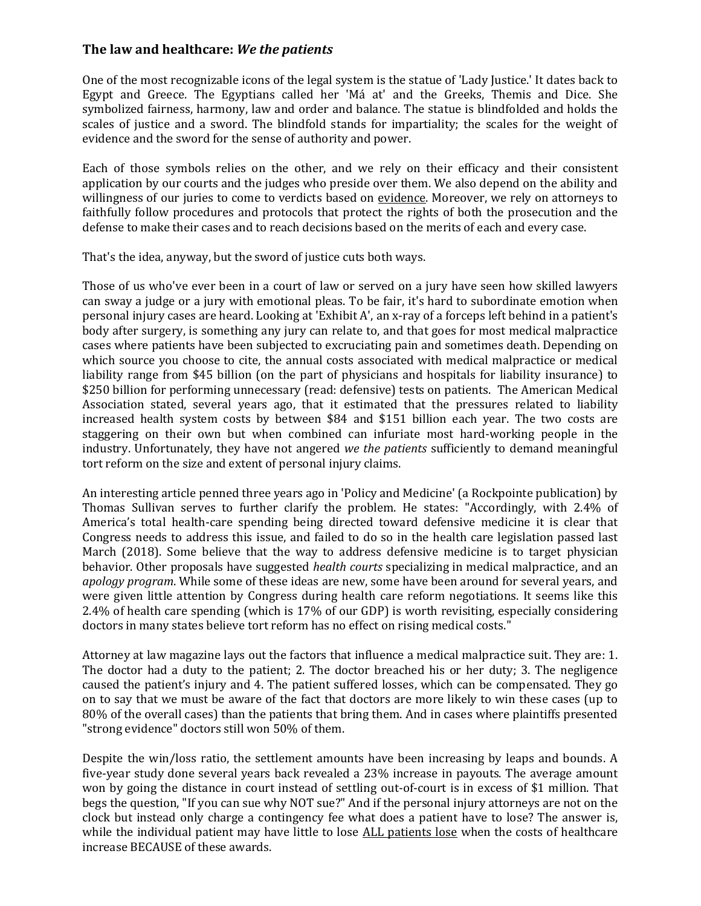## **The law and healthcare:** *We the patients*

One of the most recognizable icons of the legal system is the statue of 'Lady Justice.' It dates back to Egypt and Greece. The Egyptians called her 'Má at' and the Greeks, Themis and Dice. She symbolized fairness, harmony, law and order and balance. The statue is blindfolded and holds the scales of justice and a sword. The blindfold stands for impartiality; the scales for the weight of evidence and the sword for the sense of authority and power.

Each of those symbols relies on the other, and we rely on their efficacy and their consistent application by our courts and the judges who preside over them. We also depend on the ability and willingness of our juries to come to verdicts based on evidence. Moreover, we rely on attorneys to faithfully follow procedures and protocols that protect the rights of both the prosecution and the defense to make their cases and to reach decisions based on the merits of each and every case.

That's the idea, anyway, but the sword of justice cuts both ways.

Those of us who've ever been in a court of law or served on a jury have seen how skilled lawyers can sway a judge or a jury with emotional pleas. To be fair, it's hard to subordinate emotion when personal injury cases are heard. Looking at 'Exhibit A', an x-ray of a forceps left behind in a patient's body after surgery, is something any jury can relate to, and that goes for most medical malpractice cases where patients have been subjected to excruciating pain and sometimes death. Depending on which source you choose to cite, the annual costs associated with medical malpractice or medical liability range from \$45 billion (on the part of physicians and hospitals for liability insurance) to \$250 billion for performing unnecessary (read: defensive) tests on patients. The American Medical Association stated, several years ago, that it estimated that the pressures related to liability increased health system costs by between \$84 and \$151 billion each year. The two costs are staggering on their own but when combined can infuriate most hard-working people in the industry. Unfortunately, they have not angered *we the patients* sufficiently to demand meaningful tort reform on the size and extent of personal injury claims.

An interesting article penned three years ago in 'Policy and Medicine' (a Rockpointe publication) by Thomas Sullivan serves to further clarify the problem. He states: "Accordingly, with 2.4% of America's total health-care spending being directed toward defensive medicine it is clear that Congress needs to address this issue, and failed to do so in the health care legislation passed last March (2018). Some believe that the way to address defensive medicine is to target physician behavior. Other proposals have suggested *health courts* specializing in medical malpractice, and an *apology program*. While some of these ideas are new, some have been around for several years, and were given little attention by Congress during health care reform negotiations. It seems like this 2.4% of health care spending (which is 17% of our GDP) is worth revisiting, especially considering doctors in many states believe tort reform has no effect on rising medical costs."

Attorney at law magazine lays out the factors that influence a medical malpractice suit. They are: 1. The doctor had a duty to the patient; 2. The doctor breached his or her duty; 3. The negligence caused the patient's injury and 4. The patient suffered losses, which can be compensated. They go on to say that we must be aware of the fact that doctors are more likely to win these cases (up to 80% of the overall cases) than the patients that bring them. And in cases where plaintiffs presented "strong evidence" doctors still won 50% of them.

Despite the win/loss ratio, the settlement amounts have been increasing by leaps and bounds. A five-year study done several years back revealed a 23% increase in payouts. The average amount won by going the distance in court instead of settling out-of-court is in excess of \$1 million. That begs the question, "If you can sue why NOT sue?" And if the personal injury attorneys are not on the clock but instead only charge a contingency fee what does a patient have to lose? The answer is, while the individual patient may have little to lose ALL patients lose when the costs of healthcare increase BECAUSE of these awards.